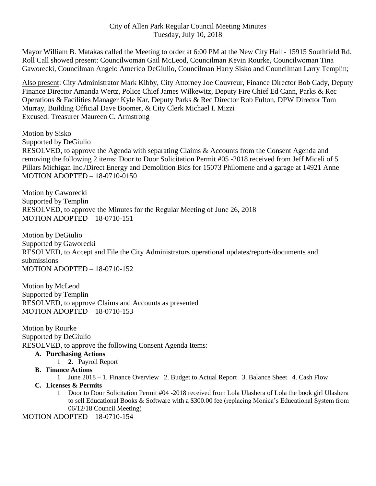# City of Allen Park Regular Council Meeting Minutes Tuesday, July 10, 2018

Mayor William B. Matakas called the Meeting to order at 6:00 PM at the New City Hall - 15915 Southfield Rd. Roll Call showed present: Councilwoman Gail McLeod, Councilman Kevin Rourke, Councilwoman Tina Gaworecki, Councilman Angelo Americo DeGiulio, Councilman Harry Sisko and Councilman Larry Templin;

Also present: City Administrator Mark Kibby, City Attorney Joe Couvreur, Finance Director Bob Cady, Deputy Finance Director Amanda Wertz, Police Chief James Wilkewitz, Deputy Fire Chief Ed Cann, Parks & Rec Operations & Facilities Manager Kyle Kar, Deputy Parks & Rec Director Rob Fulton, DPW Director Tom Murray, Building Official Dave Boomer, & City Clerk Michael I. Mizzi Excused: Treasurer Maureen C. Armstrong

Motion by Sisko Supported by DeGiulio RESOLVED, to approve the Agenda with separating Claims & Accounts from the Consent Agenda and removing the following 2 items: Door to Door Solicitation Permit #05 -2018 received from Jeff Miceli of 5 Pillars Michigan Inc./Direct Energy and Demolition Bids for 15073 Philomene and a garage at 14921 Anne MOTION ADOPTED – 18-0710-0150

Motion by Gaworecki Supported by Templin RESOLVED, to approve the Minutes for the Regular Meeting of June 26, 2018 MOTION ADOPTED – 18-0710-151

Motion by DeGiulio Supported by Gaworecki RESOLVED, to Accept and File the City Administrators operational updates/reports/documents and submissions MOTION ADOPTED – 18-0710-152

Motion by McLeod Supported by Templin RESOLVED, to approve Claims and Accounts as presented MOTION ADOPTED – 18-0710-153

Motion by Rourke Supported by DeGiulio RESOLVED, to approve the following Consent Agenda Items:

## **A. Purchasing Actions**

1 **2.** Payroll Report

## **B. Finance Actions**

1 June 2018 – 1. Finance Overview 2. Budget to Actual Report 3. Balance Sheet 4. Cash Flow

## **C. Licenses & Permits**

1 Door to Door Solicitation Permit #04 -2018 received from Lola Ulashera of Lola the book girl Ulashera to sell Educational Books & Software with a \$300.00 fee (replacing Monica's Educational System from 06/12/18 Council Meeting)

MOTION ADOPTED – 18-0710-154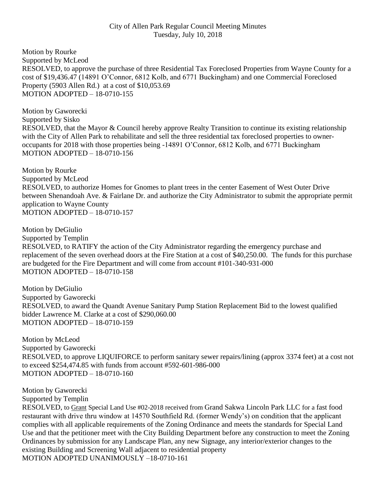# City of Allen Park Regular Council Meeting Minutes Tuesday, July 10, 2018

Motion by Rourke Supported by McLeod RESOLVED, to approve the purchase of three Residential Tax Foreclosed Properties from Wayne County for a cost of \$19,436.47 (14891 O'Connor, 6812 Kolb, and 6771 Buckingham) and one Commercial Foreclosed Property (5903 Allen Rd.) at a cost of \$10,053.69 MOTION ADOPTED – 18-0710-155

Motion by Gaworecki Supported by Sisko RESOLVED, that the Mayor & Council hereby approve Realty Transition to continue its existing relationship with the City of Allen Park to rehabilitate and sell the three residential tax foreclosed properties to owneroccupants for 2018 with those properties being -14891 O'Connor, 6812 Kolb, and 6771 Buckingham MOTION ADOPTED – 18-0710-156

Motion by Rourke Supported by McLeod RESOLVED, to authorize Homes for Gnomes to plant trees in the center Easement of West Outer Drive between Shenandoah Ave. & Fairlane Dr. and authorize the City Administrator to submit the appropriate permit application to Wayne County MOTION ADOPTED – 18-0710-157

Motion by DeGiulio Supported by Templin RESOLVED, to RATIFY the action of the City Administrator regarding the emergency purchase and replacement of the seven overhead doors at the Fire Station at a cost of \$40,250.00. The funds for this purchase are budgeted for the Fire Department and will come from account #101-340-931-000 MOTION ADOPTED – 18-0710-158

Motion by DeGiulio Supported by Gaworecki RESOLVED, to award the Quandt Avenue Sanitary Pump Station Replacement Bid to the lowest qualified bidder Lawrence M. Clarke at a cost of \$290,060.00 MOTION ADOPTED – 18-0710-159

Motion by McLeod Supported by Gaworecki RESOLVED, to approve LIQUIFORCE to perform sanitary sewer repairs/lining (approx 3374 feet) at a cost not to exceed \$254,474.85 with funds from account #592-601-986-000 MOTION ADOPTED – 18-0710-160

Motion by Gaworecki

Supported by Templin

RESOLVED, to Grant Special Land Use #02-2018 received from Grand Sakwa Lincoln Park LLC for a fast food restaurant with drive thru window at 14570 Southfield Rd. (former Wendy's) on condition that the applicant complies with all applicable requirements of the Zoning Ordinance and meets the standards for Special Land Use and that the petitioner meet with the City Building Department before any construction to meet the Zoning Ordinances by submission for any Landscape Plan, any new Signage, any interior/exterior changes to the existing Building and Screening Wall adjacent to residential property MOTION ADOPTED UNANIMOUSLY –18-0710-161